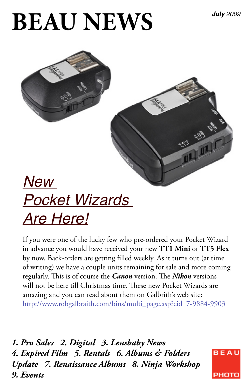## **BEAU NEWS**



## *Pocket Wizards Are Here!*

If you were one of the lucky few who pre-ordered your Pocket Wizard in advance you would have received your new **TT1 Mini** or **TT5 Flex** by now. Back-orders are getting filled weekly. As it turns out (at time of writing) we have a couple units remaining for sale and more coming regularly. This is of course the *Canon* version. The *Nikon* versions will not be here till Christmas time. These new Pocket Wizards are amazing and you can read about them on Galbrith's web site: http://www.robgalbraith.com/bins/multi\_page.asp?cid=7-9884-9903

*1. Pro Sales 2. Digital 3. Lensbaby News 4. Expired Film 5. Rentals 6. Albums & Folders Update 7. Renaissance Albums 8. Ninja Workshop 9. Events*

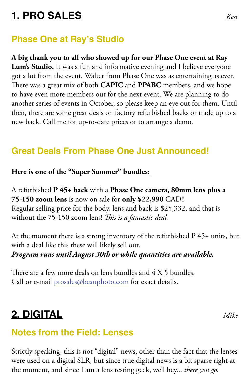## **1. PRO SALES** *Ken*

#### **Phase One at Ray's Studio**

**A big thank you to all who showed up for our Phase One event at Ray Lum's Studio.** It was a fun and informative evening and I believe everyone got a lot from the event. Walter from Phase One was as entertaining as ever. There was a great mix of both **CAPIC** and **PPABC** members, and we hope to have even more members out for the next event. We are planning to do another series of events in October, so please keep an eye out for them. Until then, there are some great deals on factory refurbished backs or trade up to a new back. Call me for up-to-date prices or to arrange a demo.

### **Great Deals From Phase One Just Announced!**

#### **Here is one of the "Super Summer" bundles:**

A refurbished **P 45+ back** with a **Phase One camera, 80mm lens plus a 75-150 zoom lens** is now on sale for **only \$22,990** CAD!! Regular selling price for the body, lens and back is \$25,332, and that is without the 75-150 zoom lens! *This is a fantastic deal.*

At the moment there is a strong inventory of the refurbished P 45+ units, but with a deal like this these will likely sell out. *Program runs until August 30th or while quantities are available.*

There are a few more deals on lens bundles and 4 X 5 bundles. Call or e-mail prosales@beauphoto.com for exact details.

## **2. DIGITAL** *Mike*

#### **Notes from the Field: Lenses**

Strictly speaking, this is not "digital" news, other than the fact that the lenses were used on a digital SLR, but since true digital news is a bit sparse right at the moment, and since I am a lens testing geek, well hey... *there you go.*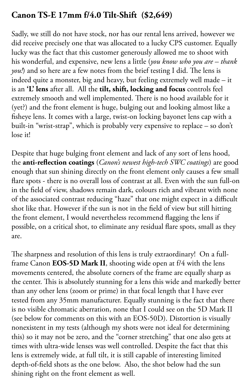#### **Canon TS-E 17mm f/4.0 Tilt-Shift (\$2,649)**

Sadly, we still do not have stock, nor has our rental lens arrived, however we did receive precisely one that was allocated to a lucky CPS customer. Equally lucky was the fact that this customer generously allowed me to shoot with his wonderful, and expensive, new lens a little (*you know who you are – thank you!*) and so here are a few notes from the brief testing I did. The lens is indeed quite a monster, big and heavy, but feeling extremely well made – it is an **'L' lens** after all. All the **tilt, shift, locking and focus** controls feel extremely smooth and well implemented. There is no hood available for it (yet?) and the front element is huge, bulging out and looking almost like a fisheye lens. It comes with a large, twist-on locking bayonet lens cap with a built-in "wrist-strap", which is probably very expensive to replace – so don't lose it!

Despite that huge bulging front element and lack of any sort of lens hood, the **anti-reflection coatings** (*Canon's newest high-tech SWC coatings*) are good enough that sun shining directly on the front element only causes a few small flare spots - there is no overall loss of contrast at all. Even with the sun full-on in the field of view, shadows remain dark, colours rich and vibrant with none of the associated contrast reducing "haze" that one might expect in a difficult shot like that. However if the sun is not in the field of view but still hitting the front element, I would nevertheless recommend flagging the lens if possible, on a critical shot, to eliminate any residual flare spots, small as they are.

The sharpness and resolution of this lens is truly extraordinary! On a fullframe Canon **EOS-5D Mark II**, shooting wide open at f/4 with the lens movements centered, the absolute corners of the frame are equally sharp as the center. This is absolutely stunning for a lens this wide and markedly better than any other lens (zoom or prime) in that focal length that I have ever tested from any 35mm manufacturer. Equally stunning is the fact that there is no visible chromatic aberration, none that I could see on the 5D Mark II (see below for comments on this with an EOS-50D). Distortion is visually nonexistent in my tests (although my shots were not ideal for determining this) so it may not be zero, and the "corner stretching" that one also gets at times with ultra-wide lenses was well controlled. Despite the fact that this lens is extremely wide, at full tilt, it is still capable of interesting limited depth-of-field shots as the one below. Also, the shot below had the sun shining right on the front element as well.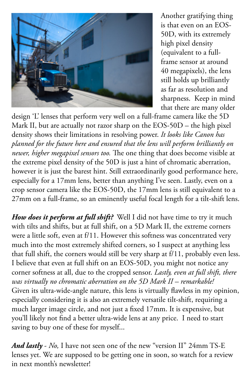

Another gratifying thing is that even on an EOS-50D, with its extremely high pixel density (equivalent to a fullframe sensor at around 40 megapixels), the lens still holds up brilliantly as far as resolution and sharpness. Keep in mind that there are many older

design 'L' lenses that perform very well on a full-frame camera like the 5D Mark II, but are actually not razor sharp on the EOS-50D – the high pixel density shows their limitations in resolving power. *It looks like Canon has planned for the future here and ensured that the lens will perform brilliantly on newer, higher megapixel sensors too.* The one thing that does become visible at the extreme pixel density of the 50D is just a hint of chromatic aberration, however it is just the barest hint. Still extraordinarily good performance here, especially for a 17mm lens, better than anything I've seen. Lastly, even on a crop sensor camera like the EOS-50D, the 17mm lens is still equivalent to a 27mm on a full-frame, so an eminently useful focal length for a tilt-shift lens.

*How does it perform at full shift?* Well I did not have time to try it much with tilts and shifts, but at full shift, on a 5D Mark II, the extreme corners were a little soft, even at f/11. However this softness was concentrated very much into the most extremely shifted corners, so I suspect at anything less that full shift, the corners would still be very sharp at f/11, probably even less. I believe that even at full shift on an EOS-50D, you might not notice any corner softness at all, due to the cropped sensor. *Lastly, even at full shift, there was virtually no chromatic aberration on the 5D Mark II – remarkable!* Given its ultra-wide-angle nature, this lens is virtually flawless in my opinion, especially considering it is also an extremely versatile tilt-shift, requiring a much larger image circle, and not just a fixed 17mm. It is expensive, but you'll likely not find a better ultra-wide lens at any price. I need to start saving to buy one of these for myself...

*And lastly* - *No,* I have not seen one of the new "version II" 24mm TS-E lenses yet. We are supposed to be getting one in soon, so watch for a review in next month's newsletter!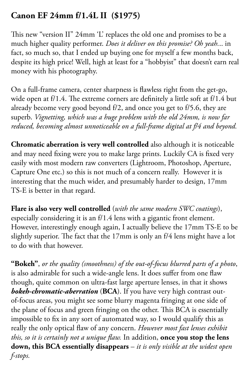#### **Canon EF 24mm f/1.4L II (\$1975)**

This new "version II" 24mm 'L' replaces the old one and promises to be a much higher quality performer. *Does it deliver on this promise? Oh yeah.*.. in fact, so much so, that I ended up buying one for myself a few months back, despite its high price! Well, high at least for a "hobbyist" that doesn't earn real money with his photography.

On a full-frame camera, center sharpness is flawless right from the get-go, wide open at f/1.4. The extreme corners are definitely a little soft at f/1.4 but already become very good beyond f/2, and once you get to f/5.6, they are superb. *Vignetting, which was a huge problem with the old 24mm, is now far reduced, becoming almost unnoticeable on a full-frame digital at f/4 and beyond.*

**Chromatic aberration is very well controlled** also although it is noticeable and may need fixing were you to make large prints. Luckily CA is fixed very easily with most modern raw converters (Lightroom, Photoshop, Aperture, Capture One etc.) so this is not much of a concern really. However it is interesting that the much wider, and presumably harder to design, 17mm TS-E is better in that regard.

**Flare is also very well controlled** (*with the same modern SWC coatings*), especially considering it is an f/1.4 lens with a gigantic front element. However, interestingly enough again, I actually believe the 17mm TS-E to be slightly superior. The fact that the 17mm is only an f/4 lens might have a lot to do with that however.

**"Bokeh"**, *or the quality (smoothness) of the out-of-focus blurred parts of a photo*, is also admirable for such a wide-angle lens. It does suffer from one flaw though, quite common on ultra-fast large aperture lenses, in that it shows *bokeh-chromatic-aberration* (**BCA**). If you have very high contrast outof-focus areas, you might see some blurry magenta fringing at one side of the plane of focus and green fringing on the other. This BCA is essentially impossible to fix in any sort of automated way, so I would qualify this as really the only optical flaw of any concern. *However most fast lenses exhibit this, so it is certainly not a unique flaw.* In addition, **once you stop the lens down, this BCA essentially disappears** – *it is only visible at the widest open f-stops.*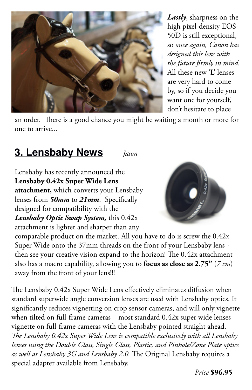

*Lastly*, sharpness on the high pixel-density EOS-50D is still exceptional, so *once again, Canon has designed this lens with the future firmly in mind.*  All these new 'L' lenses are very hard to come by, so if you decide you want one for yourself, don't hesitate to place

an order. There is a good chance you might be waiting a month or more for one to arrive...

## **3. Lensbaby News** *Jason*

Lensbaby has recently announced the **Lensbaby 0.42x Super Wide Lens attachment,** which converts your Lensbaby lenses from *50mm* to *21mm*. Specifically designed for compatibility with the *Lensbaby Optic Swap System,* this 0.42x

attachment is lighter and sharper than any



comparable product on the market. All you have to do is screw the 0.42x Super Wide onto the 37mm threads on the front of your Lensbaby lens then see your creative vision expand to the horizon! The 0.42x attachment also has a macro capability, allowing you to **focus as close as 2.75"** (*7 cm*) away from the front of your lens!!!

The Lensbaby 0.42x Super Wide Lens effectively eliminates diffusion when standard superwide angle conversion lenses are used with Lensbaby optics. It significantly reduces vignetting on crop sensor cameras, and will only vignette when tilted on full-frame cameras – most standard 0.42x super wide lenses vignette on full-frame cameras with the Lensbaby pointed straight ahead. *The Lensbaby 0.42x Super Wide Lens is compatible exclusively with all Lensbaby lenses using the Double Glass, Single Glass, Plastic, and Pinhole/Zone Plate optics as well as Lensbaby 3G and Lensbaby 2.0.* The Original Lensbaby requires a special adapter available from Lensbaby.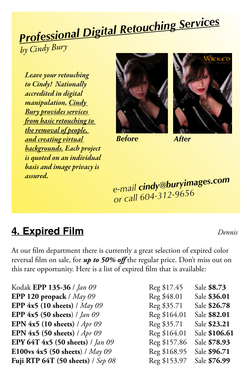# *Professional Digital Retouching Services*

*by Cindy Bury*

*Leave your retouching to Cindy! Nationally accredited in digital manipulation, Cindy Bury provides services from basic retouching to the removal of people, and creating virtual backgrounds. Each project is quoted on an individual basis and image privacy is assured.* 



*Before After*



*e-mail cindy@buryimages.com or call 604-312-9656*

## **4. Expired Film** *Dennis*

At our film department there is currently a great selection of expired color reversal film on sale, for *up to 50% off* the regular price. Don't miss out on this rare opportunity. Here is a list of expired film that is available:

Kodak **EPP 135-36** *| Jan 09* **EPP 120 propack** / *May 09* **EPP 4x5 (10 sheets)** / *May 09* **EPP 4x5 (50 sheets**) / *Jan 09* **EPN 4x5 (10 sheets)** / *Apr 09* **EPN 4x5 (50 sheets)** / *Apr 09* **EPY 64T 4x5 (50 sheets)** / *Jan 09* **E100vs 4x5 (50 sheets**) / *May 09* **Fuji RTP 64T (50 sheets)** / Sep 08

| Reg \$17.45  | Sale \$8.73   |
|--------------|---------------|
| Reg \$48.01  | Sale \$36.01  |
| Reg \$35.71  | Sale \$26.78  |
| Reg \$164.01 | Sale \$82.01  |
| Reg \$35.71  | Sale \$23.21  |
| Reg \$164.01 | Sale \$106.61 |
| Reg \$157.86 | Sale \$78.93  |
| Reg \$168.95 | Sale \$96.71  |
| Reg \$153.97 | Sale \$76.99  |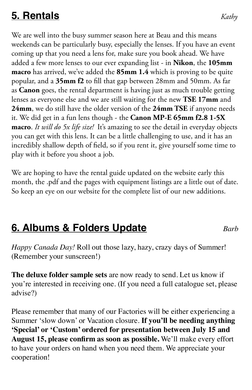## **5. Rentals** *Kathy*

We are well into the busy summer season here at Beau and this means weekends can be particularly busy, especially the lenses. If you have an event coming up that you need a lens for, make sure you book ahead. We have added a few more lenses to our ever expanding list - in **Nikon**, the **105mm macro** has arrived, we've added the **85mm 1.4** which is proving to be quite popular, and a **35mm f2** to fill that gap between 28mm and 50mm. As far as **Canon** goes, the rental department is having just as much trouble getting lenses as everyone else and we are still waiting for the new **TSE 17mm** and **24mm**, we do still have the older version of the **24mm TSE** if anyone needs it. We did get in a fun lens though - the **Canon MP-E 65mm f2.8 1-5X macro**. *It will do 5x life size!* It's amazing to see the detail in everyday objects you can get with this lens. It can be a little challenging to use, and it has an incredibly shallow depth of field, so if you rent it, give yourself some time to play with it before you shoot a job.

We are hoping to have the rental guide updated on the website early this month, the .pdf and the pages with equipment listings are a little out of date. So keep an eye on our website for the complete list of our new additions.

## **6. Albums & Folders Update** *Barb*

*Happy Canada Day!* Roll out those lazy, hazy, crazy days of Summer! (Remember your sunscreen!)

**The deluxe folder sample sets** are now ready to send. Let us know if you're interested in receiving one. (If you need a full catalogue set, please advise?)

Please remember that many of our Factories will be either experiencing a Summer 'slow down' or Vacation closure. **If you'll be needing anything 'Special' or 'Custom' ordered for presentation between July 15 and August 15, please confirm as soon as possible.** We'll make every effort to have your orders on hand when you need them. We appreciate your cooperation!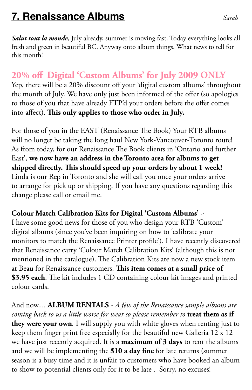## **7. Renaissance Albums** *Sarah*

Salut tout la monde, July already, summer is moving fast. Today everything looks all fresh and green in beautiful BC. Anyway onto album things. What news to tell for this month!

#### **20% off Digital 'Custom Albums' for July 2009 ONLY**

Yep, there will be a 20% discount off your 'digital custom albums' throughout the month of July. We have only just been informed of the offer (so apologies to those of you that have already FTP'd your orders before the offer comes into affect). **This only applies to those who order in July.**

For those of you in the EAST (Renaissance The Book) Your RTB albums will no longer be taking the long haul New York-Vancouver-Toronto route! As from today, for our Renaissance The Book clients in 'Ontario and further East', **we now have an address in the Toronto area for albums to get shipped directly. This should speed up your orders by about 1 week!** Linda is our Rep in Toronto and she will call you once your orders arrive to arrange for pick up or shipping. If you have any questions regarding this change please call or email me.

#### **Colour Match Calibration Kits for Digital 'Custom Albums'** ~

I have some good news for those of you who design your RTB 'Custom' digital albums (since you've been inquiring on how to 'calibrate your monitors to match the Renaissance Printer profile'). I have recently discovered that Renaissance carry 'Colour Match Calibration Kits' (although this is not mentioned in the catalogue). The Calibration Kits are now a new stock item at Beau for Renaissance customers. **This item comes at a small price of \$3.95 each**. The kit includes 1 CD containing colour kit images and printed colour cards.

And now.... **ALBUM RENTALS** - *A few of the Renaissance sample albums are coming back to us a little worse for wear so please remember to* **treat them as if they were your own***.* I will supply you with white gloves when renting just to keep them finger print free especially for the beautiful new Galleria 12 x 12 we have just recently acquired. It is a **maximum of 3 days** to rent the albums and we will be implementing the **\$10 a day fine** for late returns (summer season is a busy time and it is unfair to customers who have booked an album to show to potential clients only for it to be late . Sorry, no excuses!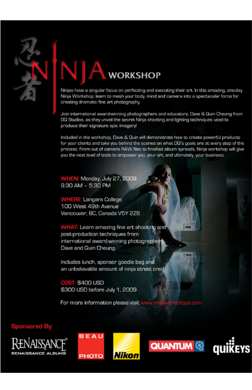

**WORKSHOP** 

Ninjas have a singular focus on perfecting and executing their art. In this amazing, one-day Ninja Workshop, learn to mesh your body, mind and camera into a spectacular force for

Join international award-winning photographers and educators, Dave & Quin Cheung from DG Studios, as they unveil the secret Ninja shooting and lighting techniques used to produce their signature epic imagery!

Included in the workshop, Dave & Quin will demonstrate how to create powerful products for your clients and take you behind the scenes on what DQ's goals are at every step of the process. From out of camera RAW files to finished album spreads, Ninja workshop will give you the next level of tools to empower you, your art, and ultimately, your business.

WHEN: Monday, July 27, 2009 9:30 AM - 5:30 PM

**WHERE: Langara College** 100 West 49th Avenue Vancouver, BC, Canada V5Y 2Z6

WHAT: Learn amazing fine art shooting and post-production techniques from international award-winning photographers Dave and Quin Cheung.

Includes lunch, sponsor goodie bag and an unbelievable amount of ninja street cred

**COST: \$400 USD** \$300 USD before July 1, 2009

For more information please visit w

**Sponsored By** 





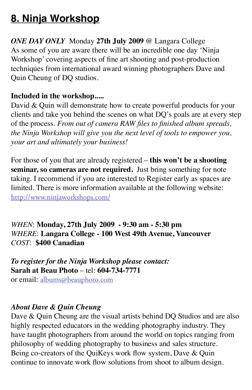## **8. Ninja Workshop**

*ONE DAY ONLY* Monday **27th July 2009** @ Langara College As some of you are aware there will be an incredible one day 'Ninja Workshop' covering aspects of fine art shooting and post-production techniques from international award winning photographers Dave and Quin Cheung of DQ studios.

#### **Included in the workshop.....**

David & Quin will demonstrate how to create powerful products for your clients and take you behind the scenes on what DQ's goals are at every step of the process. *From out of camera RAW files to finished album spreads, the Ninja Workshop will give you the next level of tools to empower you, your art and ultimately your business!*

For those of you that are already registered – **this won't be a shooting seminar, so cameras are not required.** Just bring something for note taking. I recommend if you are interested to Register early as spaces are limited. There is more information available at the following website: http://www.ninjaworkshops.com/

*WHEN*: **Monday, 27th July 2009 - 9:30 am - 5:30 pm** *WHERE*: **Langara College - 100 West 49th Avenue, Vancouver** *COST*: **\$400 Canadian**

*To register for the Ninja Workshop please contact:*  **Sarah at Beau Photo** – tel: **604-734-7771** or email: albums@beauphoto.com

#### *About Dave & Quin Cheung*

Dave & Quin Cheung are the visual artists behind DQ Studios and are also highly respected educators in the wedding photography industry. They have taught photographers from around the world on topics ranging from philosophy of wedding photography to business and sales structure. Being co-creators of the QuiKeys work flow system, Dave & Quin continue to innovate work flow solutions from shoot to album design.